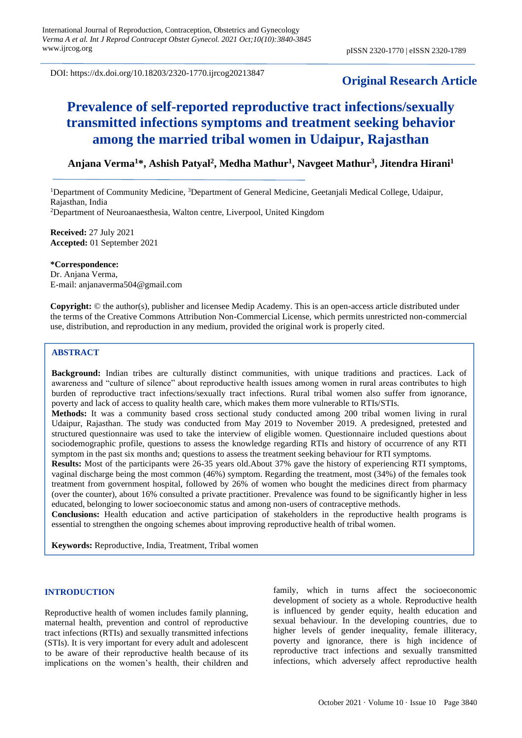DOI: https://dx.doi.org/10.18203/2320-1770.ijrcog20213847

# **Original Research Article**

# **Prevalence of self-reported reproductive tract infections/sexually transmitted infections symptoms and treatment seeking behavior among the married tribal women in Udaipur, Rajasthan**

# **Anjana Verma<sup>1</sup>\*, Ashish Patyal<sup>2</sup> , Medha Mathur<sup>1</sup> , Navgeet Mathur<sup>3</sup> , Jitendra Hirani<sup>1</sup>**

<sup>1</sup>Department of Community Medicine, <sup>3</sup>Department of General Medicine, Geetanjali Medical College, Udaipur, Rajasthan, India <sup>2</sup>Department of Neuroanaesthesia, Walton centre, Liverpool, United Kingdom

**Received:** 27 July 2021 **Accepted:** 01 September 2021

**\*Correspondence:** Dr. Anjana Verma, E-mail: [anjanaverma504@gmail.com](mailto:anjanaverma504@gmail.com)

**Copyright:** © the author(s), publisher and licensee Medip Academy. This is an open-access article distributed under the terms of the Creative Commons Attribution Non-Commercial License, which permits unrestricted non-commercial use, distribution, and reproduction in any medium, provided the original work is properly cited.

# **ABSTRACT**

**Background:** Indian tribes are culturally distinct communities, with unique traditions and practices. Lack of awareness and "culture of silence" about reproductive health issues among women in rural areas contributes to high burden of reproductive tract infections/sexually tract infections. Rural tribal women also suffer from ignorance, poverty and lack of access to quality health care, which makes them more vulnerable to RTIs/STIs.

**Methods:** It was a community based cross sectional study conducted among 200 tribal women living in rural Udaipur, Rajasthan. The study was conducted from May 2019 to November 2019. A predesigned, pretested and structured questionnaire was used to take the interview of eligible women. Questionnaire included questions about sociodemographic profile, questions to assess the knowledge regarding RTIs and history of occurrence of any RTI symptom in the past six months and; questions to assess the treatment seeking behaviour for RTI symptoms.

**Results:** Most of the participants were 26-35 years old.About 37% gave the history of experiencing RTI symptoms, vaginal discharge being the most common (46%) symptom. Regarding the treatment, most (34%) of the females took treatment from government hospital, followed by 26% of women who bought the medicines direct from pharmacy (over the counter), about 16% consulted a private practitioner. Prevalence was found to be significantly higher in less educated, belonging to lower socioeconomic status and among non-users of contraceptive methods.

**Conclusions:** Health education and active participation of stakeholders in the reproductive health programs is essential to strengthen the ongoing schemes about improving reproductive health of tribal women.

**Keywords:** Reproductive, India, Treatment, Tribal women

# **INTRODUCTION**

Reproductive health of women includes family planning, maternal health, prevention and control of reproductive tract infections (RTIs) and sexually transmitted infections (STIs). It is very important for every adult and adolescent to be aware of their reproductive health because of its implications on the women's health, their children and family, which in turns affect the socioeconomic development of society as a whole. Reproductive health is influenced by gender equity, health education and sexual behaviour. In the developing countries, due to higher levels of gender inequality, female illiteracy, poverty and ignorance, there is high incidence of reproductive tract infections and sexually transmitted infections, which adversely affect reproductive health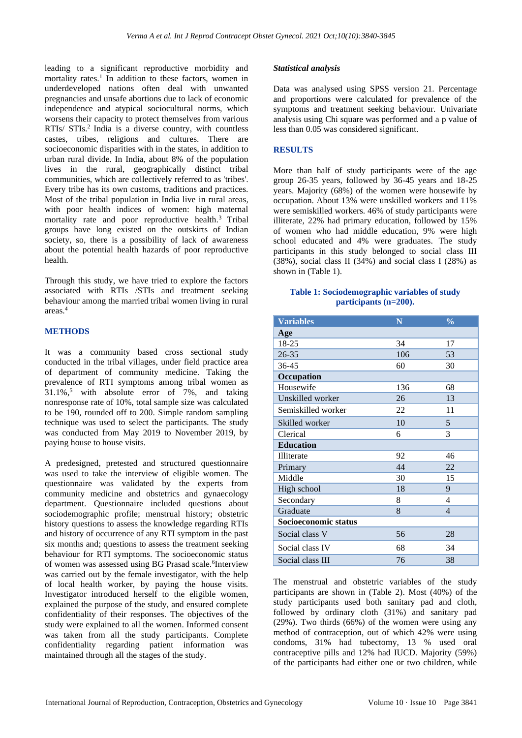leading to a significant reproductive morbidity and mortality rates.<sup>1</sup> In addition to these factors, women in underdeveloped nations often deal with unwanted pregnancies and unsafe abortions due to lack of economic independence and atypical sociocultural norms, which worsens their capacity to protect themselves from various RTIs/ STIs.<sup>2</sup> India is a diverse country, with countless castes, tribes, religions and cultures. There are socioeconomic disparities with in the states, in addition to urban rural divide. In India, about 8% of the population lives in the rural, geographically distinct tribal communities, which are collectively referred to as 'tribes'. Every tribe has its own customs, traditions and practices. Most of the tribal population in India live in rural areas, with poor health indices of women: high maternal mortality rate and poor reproductive health.<sup>3</sup> Tribal groups have long existed on the outskirts of Indian society, so, there is a possibility of lack of awareness about the potential health hazards of poor reproductive health.

Through this study, we have tried to explore the factors associated with RTIs /STIs and treatment seeking behaviour among the married tribal women living in rural areas.<sup>4</sup>

# **METHODS**

It was a community based cross sectional study conducted in the tribal villages, under field practice area of department of community medicine. Taking the prevalence of RTI symptoms among tribal women as 31.1%,<sup>5</sup> with absolute error of 7%, and taking nonresponse rate of 10%, total sample size was calculated to be 190, rounded off to 200. Simple random sampling technique was used to select the participants. The study was conducted from May 2019 to November 2019, by paying house to house visits.

A predesigned, pretested and structured questionnaire was used to take the interview of eligible women. The questionnaire was validated by the experts from community medicine and obstetrics and gynaecology department. Questionnaire included questions about sociodemographic profile; menstrual history; obstetric history questions to assess the knowledge regarding RTIs and history of occurrence of any RTI symptom in the past six months and; questions to assess the treatment seeking behaviour for RTI symptoms. The socioeconomic status of women was assessed using BG Prasad scale. <sup>6</sup>Interview was carried out by the female investigator, with the help of local health worker, by paying the house visits. Investigator introduced herself to the eligible women, explained the purpose of the study, and ensured complete confidentiality of their responses. The objectives of the study were explained to all the women. Informed consent was taken from all the study participants. Complete confidentiality regarding patient information was maintained through all the stages of the study.

### *Statistical analysis*

Data was analysed using SPSS version 21. Percentage and proportions were calculated for prevalence of the symptoms and treatment seeking behaviour. Univariate analysis using Chi square was performed and a p value of less than 0.05 was considered significant.

# **RESULTS**

More than half of study participants were of the age group 26-35 years, followed by 36-45 years and 18-25 years. Majority (68%) of the women were housewife by occupation. About 13% were unskilled workers and 11% were semiskilled workers. 46% of study participants were illiterate, 22% had primary education, followed by 15% of women who had middle education, 9% were high school educated and 4% were graduates. The study participants in this study belonged to social class III (38%), social class II (34%) and social class I (28%) as shown in (Table 1).

#### **Table 1: Sociodemographic variables of study participants (n=200).**

| <b>Variables</b>     | N   | $\frac{0}{0}$ |
|----------------------|-----|---------------|
| Age                  |     |               |
| 18-25                | 34  | 17            |
| $26 - 35$            | 106 | 53            |
| 36-45                | 60  | 30            |
| Occupation           |     |               |
| Housewife            | 136 | 68            |
| Unskilled worker     | 26  | 13            |
| Semiskilled worker   | 22  | 11            |
| Skilled worker       | 10  | 5             |
| Clerical             | 6   | 3             |
| <b>Education</b>     |     |               |
| Illiterate           | 92  | 46            |
| Primary              | 44  | 22            |
| Middle               | 30  | 15            |
| High school          | 18  | 9             |
| Secondary            | 8   | 4             |
| Graduate             | 8   | 4             |
| Socioeconomic status |     |               |
| Social class V       | 56  | 28            |
| Social class IV      | 68  | 34            |
| Social class III     | 76  | 38            |

The menstrual and obstetric variables of the study participants are shown in (Table 2). Most (40%) of the study participants used both sanitary pad and cloth, followed by ordinary cloth (31%) and sanitary pad (29%). Two thirds (66%) of the women were using any method of contraception, out of which 42% were using condoms, 31% had tubectomy, 13 % used oral contraceptive pills and 12% had IUCD. Majority (59%) of the participants had either one or two children, while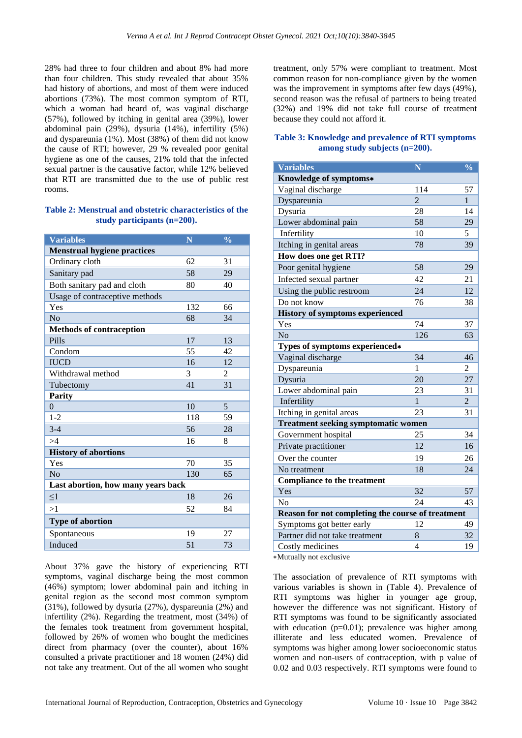28% had three to four children and about 8% had more than four children. This study revealed that about 35% had history of abortions, and most of them were induced abortions (73%). The most common symptom of RTI, which a woman had heard of, was vaginal discharge (57%), followed by itching in genital area (39%), lower abdominal pain (29%), dysuria (14%), infertility (5%) and dyspareunia (1%). Most (38%) of them did not know the cause of RTI; however, 29 % revealed poor genital hygiene as one of the causes, 21% told that the infected sexual partner is the causative factor, while 12% believed that RTI are transmitted due to the use of public rest rooms.

#### **Table 2: Menstrual and obstetric characteristics of the study participants (n=200).**

| <b>Variables</b>                   | N   | $\frac{0}{0}$ |  |  |
|------------------------------------|-----|---------------|--|--|
| <b>Menstrual hygiene practices</b> |     |               |  |  |
| Ordinary cloth                     | 62  | 31            |  |  |
| Sanitary pad                       | 58  | 29            |  |  |
| Both sanitary pad and cloth        | 80  | 40            |  |  |
| Usage of contraceptive methods     |     |               |  |  |
| Yes                                | 132 | 66            |  |  |
| No                                 | 68  | 34            |  |  |
| <b>Methods of contraception</b>    |     |               |  |  |
| Pills                              | 17  | 13            |  |  |
| Condom                             | 55  | 42            |  |  |
| <b>IUCD</b>                        | 16  | 12            |  |  |
| Withdrawal method                  | 3   | 2             |  |  |
| Tubectomy                          | 41  | 31            |  |  |
| <b>Parity</b>                      |     |               |  |  |
| $\theta$                           | 10  | 5             |  |  |
| $1 - 2$                            | 118 | 59            |  |  |
| $3 - 4$                            | 56  | 28            |  |  |
| >4                                 | 16  | 8             |  |  |
| <b>History of abortions</b>        |     |               |  |  |
| Yes                                | 70  | 35            |  |  |
| N <sub>o</sub>                     | 130 | 65            |  |  |
| Last abortion, how many years back |     |               |  |  |
| $\leq$ 1                           | 18  | 26            |  |  |
| >1                                 | 52  | 84            |  |  |
| <b>Type of abortion</b>            |     |               |  |  |
| Spontaneous                        | 19  | 27            |  |  |
| Induced                            | 51  | 73            |  |  |

About 37% gave the history of experiencing RTI symptoms, vaginal discharge being the most common (46%) symptom; lower abdominal pain and itching in genital region as the second most common symptom (31%), followed by dysuria (27%), dyspareunia (2%) and infertility (2%). Regarding the treatment, most (34%) of the females took treatment from government hospital, followed by 26% of women who bought the medicines direct from pharmacy (over the counter), about 16% consulted a private practitioner and 18 women (24%) did not take any treatment. Out of the all women who sought treatment, only 57% were compliant to treatment. Most common reason for non-compliance given by the women was the improvement in symptoms after few days (49%), second reason was the refusal of partners to being treated (32%) and 19% did not take full course of treatment because they could not afford it.

#### **Table 3: Knowledge and prevalence of RTI symptoms among study subjects (n=200).**

| <b>Variables</b>                                  | N              | $\overline{\frac{0}{0}}$ |  |  |
|---------------------------------------------------|----------------|--------------------------|--|--|
| Knowledge of symptoms*                            |                |                          |  |  |
| Vaginal discharge                                 | 114            | 57                       |  |  |
| Dyspareunia                                       | $\overline{2}$ | 1                        |  |  |
| Dysuria                                           | 28             | 14                       |  |  |
| Lower abdominal pain                              | 58             | 29                       |  |  |
| Infertility                                       | 10             | 5                        |  |  |
| Itching in genital areas                          | 78             | 39                       |  |  |
| How does one get RTI?                             |                |                          |  |  |
| Poor genital hygiene                              | 58             | 29                       |  |  |
| Infected sexual partner                           | 42             | 21                       |  |  |
| Using the public restroom                         | 24             | 12                       |  |  |
| Do not know                                       | 76             | 38                       |  |  |
| <b>History of symptoms experienced</b>            |                |                          |  |  |
| Yes                                               | 74             | 37                       |  |  |
| N <sub>o</sub>                                    | 126            | 63                       |  |  |
| Types of symptoms experienced*                    |                |                          |  |  |
| Vaginal discharge                                 | 34             | 46                       |  |  |
| Dyspareunia                                       | 1              | 2                        |  |  |
| Dysuria                                           | 20             | 27                       |  |  |
| Lower abdominal pain                              | 23             | 31                       |  |  |
| Infertility                                       | 1              | $\overline{2}$           |  |  |
| Itching in genital areas                          | 23             | 31                       |  |  |
| <b>Treatment seeking symptomatic women</b>        |                |                          |  |  |
| Government hospital                               | 25             | 34                       |  |  |
| Private practitioner                              | 12             | 16                       |  |  |
| Over the counter                                  | 19             | 26                       |  |  |
| No treatment                                      | 18             | 24                       |  |  |
| <b>Compliance to the treatment</b>                |                |                          |  |  |
| Yes                                               | 32             | 57                       |  |  |
| No                                                | 24             | 43                       |  |  |
| Reason for not completing the course of treatment |                |                          |  |  |
| Symptoms got better early                         | 12             | 49                       |  |  |
| Partner did not take treatment                    | 8              | 32                       |  |  |
| Costly medicines                                  | $\overline{4}$ | 19                       |  |  |

∗Mutually not exclusive

The association of prevalence of RTI symptoms with various variables is shown in (Table 4). Prevalence of RTI symptoms was higher in younger age group, however the difference was not significant. History of RTI symptoms was found to be significantly associated with education  $(p=0.01)$ ; prevalence was higher among illiterate and less educated women. Prevalence of symptoms was higher among lower socioeconomic status women and non-users of contraception, with p value of 0.02 and 0.03 respectively. RTI symptoms were found to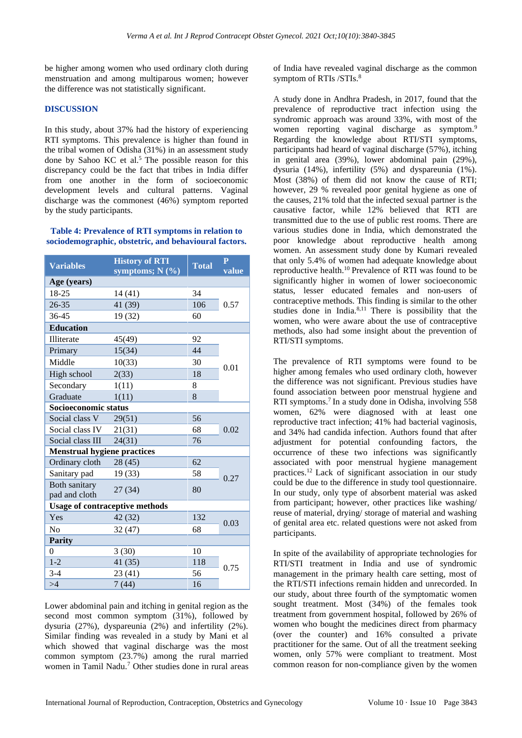be higher among women who used ordinary cloth during menstruation and among multiparous women; however the difference was not statistically significant.

#### **DISCUSSION**

In this study, about 37% had the history of experiencing RTI symptoms. This prevalence is higher than found in the tribal women of Odisha (31%) in an assessment study done by Sahoo KC et al.<sup>5</sup> The possible reason for this discrepancy could be the fact that tribes in India differ from one another in the form of socioeconomic development levels and cultural patterns. Vaginal discharge was the commonest (46%) symptom reported by the study participants.

#### **Table 4: Prevalence of RTI symptoms in relation to sociodemographic, obstetric, and behavioural factors.**

| <b>Variables</b>                      | <b>History of RTI</b><br>symptoms; $N$ (%) | Total | $\overline{P}$<br>value |  |  |  |
|---------------------------------------|--------------------------------------------|-------|-------------------------|--|--|--|
| Age (years)                           |                                            |       |                         |  |  |  |
| 18-25                                 | 14 (41)                                    | 34    |                         |  |  |  |
| $26 - 35$                             | 41 (39)                                    | 106   | 0.57                    |  |  |  |
| 36-45                                 | 19 (32)                                    | 60    |                         |  |  |  |
| <b>Education</b>                      |                                            |       |                         |  |  |  |
| Illiterate                            | 45(49)                                     | 92    |                         |  |  |  |
| Primary                               | 15(34)                                     | 44    |                         |  |  |  |
| Middle                                | 10(33)                                     | 30    |                         |  |  |  |
| High school                           | 2(33)                                      | 18    | 0.01                    |  |  |  |
| Secondary                             | 1(11)                                      | 8     |                         |  |  |  |
| Graduate                              | 1(11)                                      | 8     |                         |  |  |  |
| Socioeconomic status                  |                                            |       |                         |  |  |  |
| Social class V                        | 29(51)                                     | 56    | 0.02                    |  |  |  |
| Social class IV                       | 21(31)                                     | 68    |                         |  |  |  |
| Social class III                      | 24(31)                                     | 76    |                         |  |  |  |
| <b>Menstrual hygiene practices</b>    |                                            |       |                         |  |  |  |
| Ordinary cloth                        | 28(45)                                     | 62    |                         |  |  |  |
| Sanitary pad                          | 19(33)                                     | 58    | 0.27                    |  |  |  |
| <b>Both sanitary</b><br>pad and cloth | 27 (34)                                    | 80    |                         |  |  |  |
| <b>Usage of contraceptive methods</b> |                                            |       |                         |  |  |  |
| Yes                                   | 42 (32)                                    | 132   | 0.03                    |  |  |  |
| No                                    | 32(47)                                     | 68    |                         |  |  |  |
| <b>Parity</b>                         |                                            |       |                         |  |  |  |
| 0                                     | 3(30)                                      | 10    |                         |  |  |  |
| $1 - 2$                               | 41 (35)                                    | 118   | 0.75                    |  |  |  |
| $3 - 4$                               | 23 (41)                                    | 56    |                         |  |  |  |
| >4                                    | 7(44)                                      | 16    |                         |  |  |  |

Lower abdominal pain and itching in genital region as the second most common symptom (31%), followed by dysuria (27%), dyspareunia (2%) and infertility (2%). Similar finding was revealed in a study by Mani et al which showed that vaginal discharge was the most common symptom (23.7%) among the rural married women in Tamil Nadu.<sup>7</sup> Other studies done in rural areas of India have revealed vaginal discharge as the common symptom of RTIs /STIs.<sup>8</sup>

A study done in Andhra Pradesh, in 2017, found that the prevalence of reproductive tract infection using the syndromic approach was around 33%, with most of the women reporting vaginal discharge as symptom.<sup>9</sup> Regarding the knowledge about RTI/STI symptoms, participants had heard of vaginal discharge (57%), itching in genital area (39%), lower abdominal pain (29%), dysuria (14%), infertility (5%) and dyspareunia (1%). Most (38%) of them did not know the cause of RTI; however, 29 % revealed poor genital hygiene as one of the causes, 21% told that the infected sexual partner is the causative factor, while 12% believed that RTI are transmitted due to the use of public rest rooms. There are various studies done in India, which demonstrated the poor knowledge about reproductive health among women. An assessment study done by Kumari revealed that only 5.4% of women had adequate knowledge about reproductive health.<sup>10</sup> Prevalence of RTI was found to be significantly higher in women of lower socioeconomic status, lesser educated females and non-users of contraceptive methods. This finding is similar to the other studies done in India. $8,11$  There is possibility that the women, who were aware about the use of contraceptive methods, also had some insight about the prevention of RTI/STI symptoms.

The prevalence of RTI symptoms were found to be higher among females who used ordinary cloth, however the difference was not significant. Previous studies have found association between poor menstrual hygiene and RTI symptoms.<sup>7</sup> In a study done in Odisha, involving 558 women, 62% were diagnosed with at least one reproductive tract infection; 41% had bacterial vaginosis, and 34% had candida infection. Authors found that after adjustment for potential confounding factors, the occurrence of these two infections was significantly associated with poor menstrual hygiene management practices.<sup>12</sup> Lack of significant association in our study could be due to the difference in study tool questionnaire. In our study, only type of absorbent material was asked from participant; however, other practices like washing/ reuse of material, drying/ storage of material and washing of genital area etc. related questions were not asked from participants.

In spite of the availability of appropriate technologies for RTI/STI treatment in India and use of syndromic management in the primary health care setting, most of the RTI/STI infections remain hidden and unrecorded. In our study, about three fourth of the symptomatic women sought treatment. Most (34%) of the females took treatment from government hospital, followed by 26% of women who bought the medicines direct from pharmacy (over the counter) and 16% consulted a private practitioner for the same. Out of all the treatment seeking women, only 57% were compliant to treatment. Most common reason for non-compliance given by the women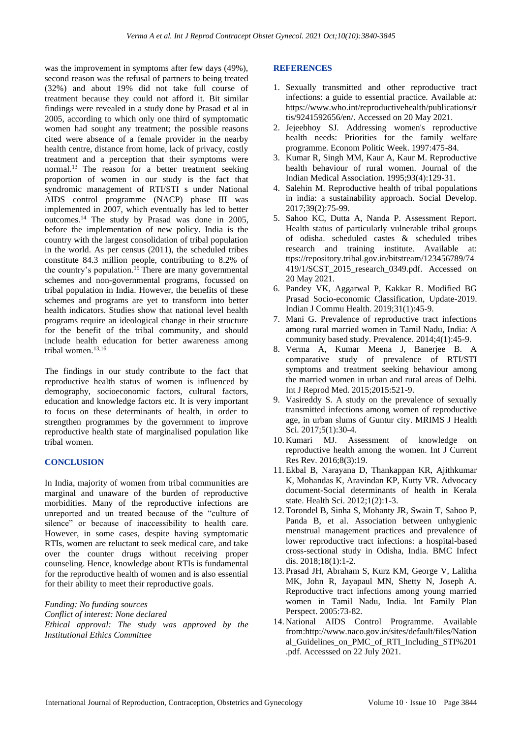was the improvement in symptoms after few days (49%), second reason was the refusal of partners to being treated (32%) and about 19% did not take full course of treatment because they could not afford it. Bit similar findings were revealed in a study done by Prasad et al in 2005, according to which only one third of symptomatic women had sought any treatment; the possible reasons cited were absence of a female provider in the nearby health centre, distance from home, lack of privacy, costly treatment and a perception that their symptoms were normal.<sup>13</sup> The reason for a better treatment seeking proportion of women in our study is the fact that syndromic management of RTI/STI s under National AIDS control programme (NACP) phase III was implemented in 2007, which eventually has led to better outcomes.<sup>14</sup> The study by Prasad was done in 2005, before the implementation of new policy. India is the country with the largest consolidation of tribal population in the world. As per census (2011), the scheduled tribes constitute 84.3 million people, contributing to 8.2% of the country's population. <sup>15</sup> There are many governmental schemes and non-governmental programs, focussed on tribal population in India. However, the benefits of these schemes and programs are yet to transform into better health indicators. Studies show that national level health programs require an ideological change in their structure for the benefit of the tribal community, and should include health education for better awareness among tribal women.<sup>13,16</sup>

The findings in our study contribute to the fact that reproductive health status of women is influenced by demography, socioeconomic factors, cultural factors, education and knowledge factors etc. It is very important to focus on these determinants of health, in order to strengthen programmes by the government to improve reproductive health state of marginalised population like tribal women.

# **CONCLUSION**

In India, majority of women from tribal communities are marginal and unaware of the burden of reproductive morbidities. Many of the reproductive infections are unreported and un treated because of the "culture of silence" or because of inaccessibility to health care. However, in some cases, despite having symptomatic RTIs, women are reluctant to seek medical care, and take over the counter drugs without receiving proper counseling. Hence, knowledge about RTIs is fundamental for the reproductive health of women and is also essential for their ability to meet their reproductive goals.

*Funding: No funding sources*

*Conflict of interest: None declared Ethical approval: The study was approved by the Institutional Ethics Committee*

#### **REFERENCES**

- 1. Sexually transmitted and other reproductive tract infections: a guide to essential practice. Available at: [https://www.who.int/reproductivehealth/publications/r](https://www.who.int/reproductivehealth/publications/rtis/9241592656/en/) [tis/9241592656/en/.](https://www.who.int/reproductivehealth/publications/rtis/9241592656/en/) Accessed on 20 May 2021.
- 2. Jejeebhoy SJ. Addressing women's reproductive health needs: Priorities for the family welfare programme. Econom Politic Week. 1997:475-84.
- 3. Kumar R, Singh MM, Kaur A, Kaur M. Reproductive health behaviour of rural women. Journal of the Indian Medical Association. 1995;93(4):129-31.
- 4. Salehin M. Reproductive health of tribal populations in india: a sustainability approach. Social Develop. 2017;39(2):75-99.
- 5. Sahoo KC, Dutta A, Nanda P. Assessment Report. Health status of particularly vulnerable tribal groups of odisha. scheduled castes & scheduled tribes research and training institute. Available at: ttps://repository.tribal.gov.in/bitstream/123456789/74 419/1/SCST\_2015\_research\_0349.pdf. Accessed on 20 May 2021.
- 6. Pandey VK, Aggarwal P, Kakkar R. Modified BG Prasad Socio-economic Classification, Update-2019. Indian J Commu Health. 2019;31(1):45-9.
- 7. Mani G. Prevalence of reproductive tract infections among rural married women in Tamil Nadu, India: A community based study. Prevalence. 2014;4(1):45-9.
- 8. Verma A, Kumar Meena J, Banerjee B. A comparative study of prevalence of RTI/STI symptoms and treatment seeking behaviour among the married women in urban and rural areas of Delhi. Int J Reprod Med. 2015;2015:521-9.
- 9. Vasireddy S. A study on the prevalence of sexually transmitted infections among women of reproductive age, in urban slums of Guntur city. MRIMS J Health Sci. 2017;5(1):30-4.
- 10. Kumari MJ. Assessment of knowledge on reproductive health among the women. Int J Current Res Rev. 2016;8(3):19.
- 11. Ekbal B, Narayana D, Thankappan KR, Ajithkumar K, Mohandas K, Aravindan KP, Kutty VR. Advocacy document-Social determinants of health in Kerala state. Health Sci. 2012;1(2):1-3.
- 12. Torondel B, Sinha S, Mohanty JR, Swain T, Sahoo P, Panda B, et al. Association between unhygienic menstrual management practices and prevalence of lower reproductive tract infections: a hospital-based cross-sectional study in Odisha, India. BMC Infect dis. 2018;18(1):1-2.
- 13. Prasad JH, Abraham S, Kurz KM, George V, Lalitha MK, John R, Jayapaul MN, Shetty N, Joseph A. Reproductive tract infections among young married women in Tamil Nadu, India. Int Family Plan Perspect. 2005:73-82.
- 14. National AIDS Control Programme. Available from:http://www.naco.gov.in/sites/default/files/Nation al Guidelines on PMC of RTI Including STI%201 .pdf. Accesssed on 22 July 2021.